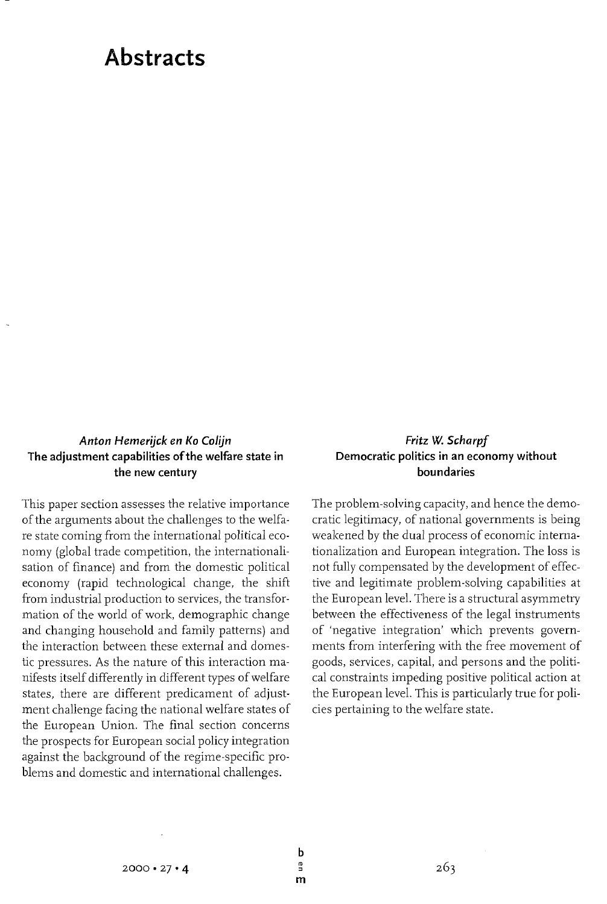# **Abstracts**

## Anton Hemerijck en Ko Colijn **The adjustment capabilities of the welfare state in the new century**

This paper section assesses the relative importance of the arguments about the challenges to the welfare state coming from the international political economy (global trade competition, the internationalisation of finance) and from the domestic political economy (rapid technological change, the shift from industrial production to services, the transformation of the world of work, demographic change and changing household and family patterns) and the interaction between these external and domestic pressures. As the nature of this interaction manifests itself differently in different types of welfare states, there are different predicament of adjustment challenge facing the national welfare states of the European Union. The final section concerns the prospects for European social policy integration against the background of the regime-specific problems and domestic and international challenges.

### **Fritz W. Scharpf Democratic politics in an economy without boundaries**

The problem-solving capacity, and hence the democratic legitimacy, of national governments is being weakened by the dual process of economic internationalization and European integration. The loss is not fully compensated by the development of effective and legitimate problem-solving capabilities at the European level. There is a structural asymmetry between the effectiveness of the legal instruments of 'negative integration' which prevents governments from interfering with the free movement of goods, services, capital, and persons and the political constraints impeding positive political action at the European level. This is particularly true for policies pertaining to the welfare state.